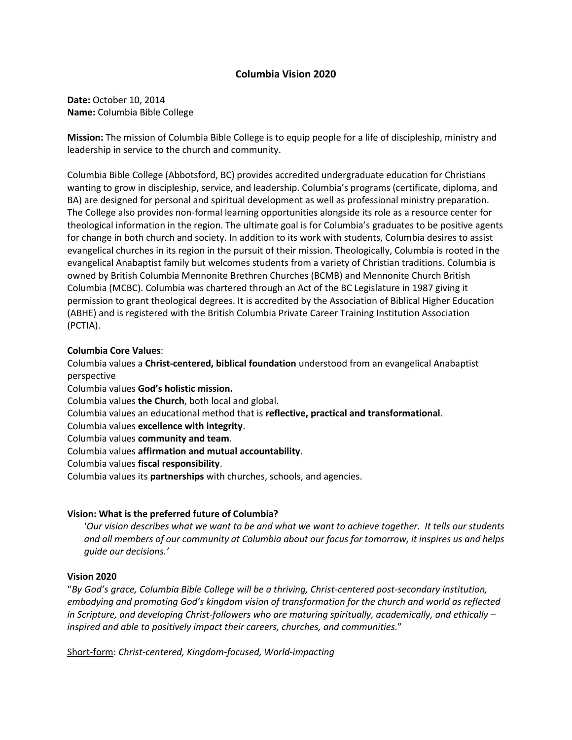### **Columbia Vision 2020**

**Date:** October 10, 2014 **Name:** Columbia Bible College

**Mission:** The mission of Columbia Bible College is to equip people for a life of discipleship, ministry and leadership in service to the church and community.

Columbia Bible College (Abbotsford, BC) provides accredited undergraduate education for Christians wanting to grow in discipleship, service, and leadership. Columbia's programs (certificate, diploma, and BA) are designed for personal and spiritual development as well as professional ministry preparation. The College also provides non-formal learning opportunities alongside its role as a resource center for theological information in the region. The ultimate goal is for Columbia's graduates to be positive agents for change in both church and society. In addition to its work with students, Columbia desires to assist evangelical churches in its region in the pursuit of their mission. Theologically, Columbia is rooted in the evangelical Anabaptist family but welcomes students from a variety of Christian traditions. Columbia is owned by British Columbia Mennonite Brethren Churches (BCMB) and Mennonite Church British Columbia (MCBC). Columbia was chartered through an Act of the BC Legislature in 1987 giving it permission to grant theological degrees. It is accredited by the Association of Biblical Higher Education (ABHE) and is registered with the British Columbia Private Career Training Institution Association (PCTIA).

### **Columbia Core Values**:

Columbia values a **Christ-centered, biblical foundation** understood from an evangelical Anabaptist perspective

Columbia values **God's holistic mission.** 

Columbia values **the Church**, both local and global.

Columbia values an educational method that is **reflective, practical and transformational**.

Columbia values **excellence with integrity**.

Columbia values **community and team**.

Columbia values **affirmation and mutual accountability**.

Columbia values **fiscal responsibility**.

Columbia values its **partnerships** with churches, schools, and agencies.

### **Vision: What is the preferred future of Columbia?**

'*Our vision describes what we want to be and what we want to achieve together. It tells our students and all members of our community at Columbia about our focus for tomorrow, it inspires us and helps guide our decisions.'* 

#### **Vision 2020**

"*By God's grace, Columbia Bible College will be a thriving, Christ-centered post-secondary institution, embodying and promoting God's kingdom vision of transformation for the church and world as reflected in Scripture, and developing Christ-followers who are maturing spiritually, academically, and ethically – inspired and able to positively impact their careers, churches, and communities.*"

Short-form: *Christ-centered, Kingdom-focused, World-impacting*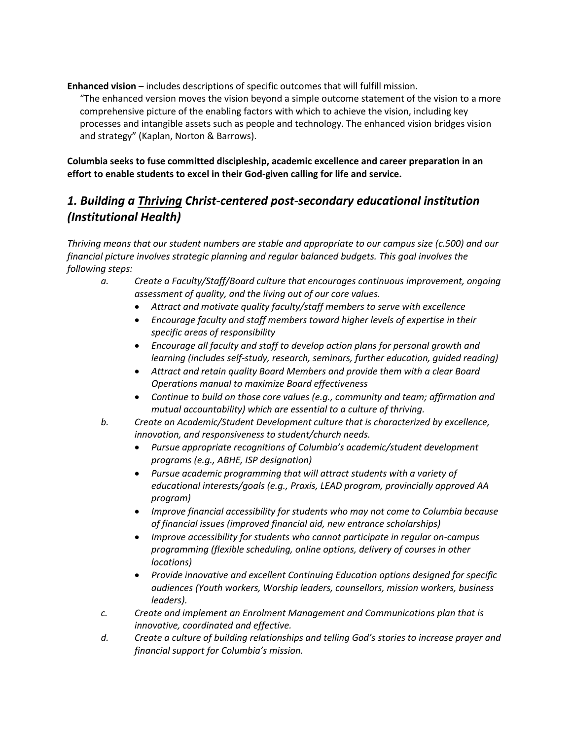**Enhanced vision** – includes descriptions of specific outcomes that will fulfill mission.

"The enhanced version moves the vision beyond a simple outcome statement of the vision to a more comprehensive picture of the enabling factors with which to achieve the vision, including key processes and intangible assets such as people and technology. The enhanced vision bridges vision and strategy" (Kaplan, Norton & Barrows).

**Columbia seeks to fuse committed discipleship, academic excellence and career preparation in an effort to enable students to excel in their God-given calling for life and service.**

# *1. Building a Thriving Christ-centered post-secondary educational institution (Institutional Health)*

*Thriving means that our student numbers are stable and appropriate to our campus size (c.500) and our financial picture involves strategic planning and regular balanced budgets. This goal involves the following steps:*

- *a. Create a Faculty/Staff/Board culture that encourages continuous improvement, ongoing assessment of quality, and the living out of our core values.*
	- *Attract and motivate quality faculty/staff members to serve with excellence*
	- *Encourage faculty and staff members toward higher levels of expertise in their specific areas of responsibility*
	- *Encourage all faculty and staff to develop action plans for personal growth and learning (includes self-study, research, seminars, further education, guided reading)*
	- *Attract and retain quality Board Members and provide them with a clear Board Operations manual to maximize Board effectiveness*
	- *Continue to build on those core values (e.g., community and team; affirmation and mutual accountability) which are essential to a culture of thriving.*
- *b. Create an Academic/Student Development culture that is characterized by excellence, innovation, and responsiveness to student/church needs.* 
	- *Pursue appropriate recognitions of Columbia's academic/student development programs (e.g., ABHE, ISP designation)*
	- *Pursue academic programming that will attract students with a variety of educational interests/goals (e.g., Praxis, LEAD program, provincially approved AA program)*
	- *Improve financial accessibility for students who may not come to Columbia because of financial issues (improved financial aid, new entrance scholarships)*
	- *Improve accessibility for students who cannot participate in regular on-campus programming (flexible scheduling, online options, delivery of courses in other locations)*
	- *Provide innovative and excellent Continuing Education options designed for specific audiences (Youth workers, Worship leaders, counsellors, mission workers, business leaders).*
- *c. Create and implement an Enrolment Management and Communications plan that is innovative, coordinated and effective.*
- *d. Create a culture of building relationships and telling God's stories to increase prayer and financial support for Columbia's mission.*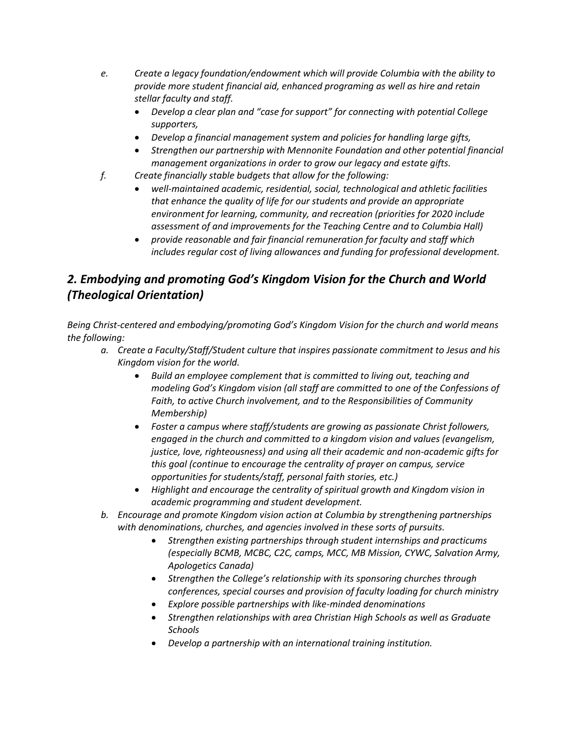- *e. Create a legacy foundation/endowment which will provide Columbia with the ability to provide more student financial aid, enhanced programing as well as hire and retain stellar faculty and staff.* 
	- *Develop a clear plan and "case for support" for connecting with potential College supporters,*
	- *Develop a financial management system and policies for handling large gifts,*
	- *Strengthen our partnership with Mennonite Foundation and other potential financial management organizations in order to grow our legacy and estate gifts.*
- *f. Create financially stable budgets that allow for the following:*
	- *well-maintained academic, residential, social, technological and athletic facilities that enhance the quality of life for our students and provide an appropriate environment for learning, community, and recreation (priorities for 2020 include assessment of and improvements for the Teaching Centre and to Columbia Hall)*
	- *provide reasonable and fair financial remuneration for faculty and staff which includes regular cost of living allowances and funding for professional development.*

## *2. Embodying and promoting God's Kingdom Vision for the Church and World (Theological Orientation)*

*Being Christ-centered and embodying/promoting God's Kingdom Vision for the church and world means the following:*

- *a. Create a Faculty/Staff/Student culture that inspires passionate commitment to Jesus and his Kingdom vision for the world.*
	- *Build an employee complement that is committed to living out, teaching and modeling God's Kingdom vision (all staff are committed to one of the Confessions of Faith, to active Church involvement, and to the Responsibilities of Community Membership)*
	- *Foster a campus where staff/students are growing as passionate Christ followers, engaged in the church and committed to a kingdom vision and values (evangelism, justice, love, righteousness) and using all their academic and non-academic gifts for this goal (continue to encourage the centrality of prayer on campus, service opportunities for students/staff, personal faith stories, etc.)*
	- *Highlight and encourage the centrality of spiritual growth and Kingdom vision in academic programming and student development.*
- *b. Encourage and promote Kingdom vision action at Columbia by strengthening partnerships with denominations, churches, and agencies involved in these sorts of pursuits.*
	- *Strengthen existing partnerships through student internships and practicums (especially BCMB, MCBC, C2C, camps, MCC, MB Mission, CYWC, Salvation Army, Apologetics Canada)*
	- *Strengthen the College's relationship with its sponsoring churches through conferences, special courses and provision of faculty loading for church ministry*
	- *Explore possible partnerships with like-minded denominations*
	- *Strengthen relationships with area Christian High Schools as well as Graduate Schools*
	- *Develop a partnership with an international training institution.*